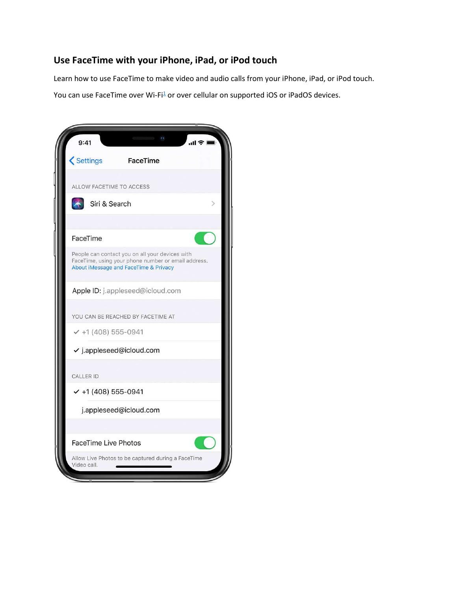## Use FaceTime with your iPhone, iPad, or iPod touch

Learn how to use FaceTime to make video and audio calls from your iPhone, iPad, or iPod touch.

You can use FaceTime over Wi-Fi<sup>1</sup> or over cellular on supported iOS or iPadOS devices.

| 9:41                        |                                                                                                                                                 |  |
|-----------------------------|-------------------------------------------------------------------------------------------------------------------------------------------------|--|
| <b>くSettings</b>            | FaceTime                                                                                                                                        |  |
| ALLOW FACETIME TO ACCESS    |                                                                                                                                                 |  |
| Siri & Search               |                                                                                                                                                 |  |
|                             |                                                                                                                                                 |  |
| FaceTime                    |                                                                                                                                                 |  |
|                             | People can contact you on all your devices with<br>FaceTime, using your phone number or email address.<br>About iMessage and FaceTime & Privacy |  |
|                             | Apple ID: j.appleseed@icloud.com                                                                                                                |  |
|                             | YOU CAN BE REACHED BY FACETIME AT                                                                                                               |  |
| $-$ +1 (408) 555-0941       |                                                                                                                                                 |  |
|                             | $\checkmark$ j.appleseed@icloud.com                                                                                                             |  |
| CALLER ID                   |                                                                                                                                                 |  |
| $\times$ +1 (408) 555-0941  |                                                                                                                                                 |  |
|                             | j.appleseed@icloud.com                                                                                                                          |  |
|                             |                                                                                                                                                 |  |
| <b>FaceTime Live Photos</b> |                                                                                                                                                 |  |
| Video call.                 | Allow Live Photos to be captured during a FaceTime                                                                                              |  |